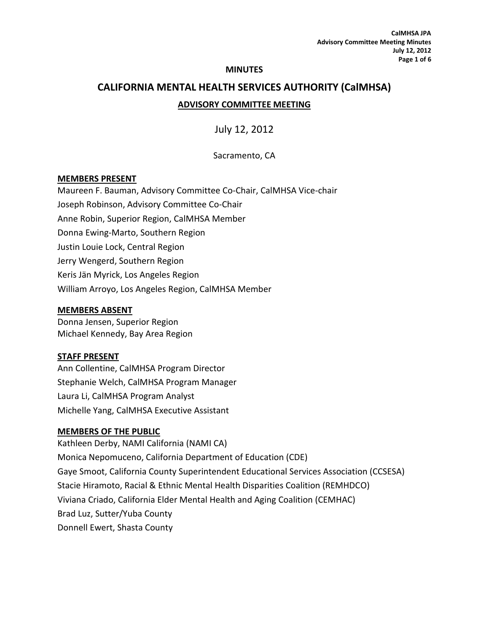#### **MINUTES**

# **CALIFORNIA MENTAL HEALTH SERVICES AUTHORITY (CalMHSA) ADVISORY COMMITTEE MEETING**

July 12, 2012

Sacramento, CA

#### **MEMBERS PRESENT**

Maureen F. Bauman, Advisory Committee Co-Chair, CalMHSA Vice-chair Joseph Robinson, Advisory Committee Co-Chair Anne Robin, Superior Region, CalMHSA Member Donna Ewing-Marto, Southern Region Justin Louie Lock, Central Region Jerry Wengerd, Southern Region Keris Jän Myrick, Los Angeles Region William Arroyo, Los Angeles Region, CalMHSA Member

#### **MEMBERS ABSENT**

Donna Jensen, Superior Region Michael Kennedy, Bay Area Region

#### **STAFF PRESENT**

Ann Collentine, CalMHSA Program Director Stephanie Welch, CalMHSA Program Manager Laura Li, CalMHSA Program Analyst Michelle Yang, CalMHSA Executive Assistant

#### **MEMBERS OF THE PUBLIC**

Kathleen Derby, NAMI California (NAMI CA) Monica Nepomuceno, California Department of Education (CDE) Gaye Smoot, California County Superintendent Educational Services Association (CCSESA) Stacie Hiramoto, Racial & Ethnic Mental Health Disparities Coalition (REMHDCO) Viviana Criado, California Elder Mental Health and Aging Coalition (CEMHAC) Brad Luz, Sutter/Yuba County Donnell Ewert, Shasta County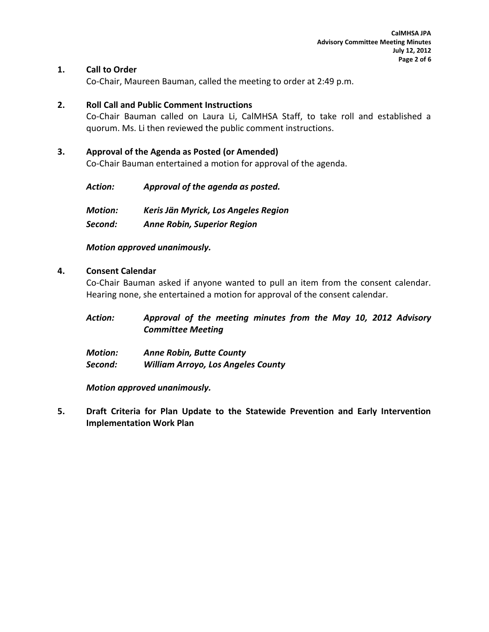## **1. Call to Order**

Co-Chair, Maureen Bauman, called the meeting to order at 2:49 p.m.

#### **2. Roll Call and Public Comment Instructions**

Co-Chair Bauman called on Laura Li, CalMHSA Staff, to take roll and established a quorum. Ms. Li then reviewed the public comment instructions.

#### **3. Approval of the Agenda as Posted (or Amended)**

Co-Chair Bauman entertained a motion for approval of the agenda.

| Action:        | Approval of the agenda as posted.    |  |  |  |  |  |
|----------------|--------------------------------------|--|--|--|--|--|
| <b>Motion:</b> | Keris Jän Myrick, Los Angeles Region |  |  |  |  |  |
| Second:        | <b>Anne Robin, Superior Region</b>   |  |  |  |  |  |

#### *Motion approved unanimously.*

#### **4. Consent Calendar**

Co-Chair Bauman asked if anyone wanted to pull an item from the consent calendar. Hearing none, she entertained a motion for approval of the consent calendar.

| <b>Action:</b> | Approval of the meeting minutes from the May 10, 2012 Advisory |  |  |  |  |  |  |  |  |  |
|----------------|----------------------------------------------------------------|--|--|--|--|--|--|--|--|--|
|                | <b>Committee Meeting</b>                                       |  |  |  |  |  |  |  |  |  |

*Motion: Anne Robin, Butte County Second: William Arroyo, Los Angeles County*

*Motion approved unanimously.*

**5. Draft Criteria for Plan Update to the Statewide Prevention and Early Intervention Implementation Work Plan**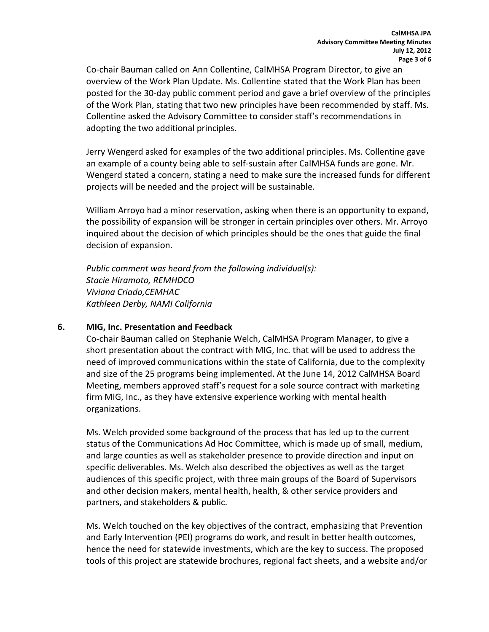Co-chair Bauman called on Ann Collentine, CalMHSA Program Director, to give an overview of the Work Plan Update. Ms. Collentine stated that the Work Plan has been posted for the 30-day public comment period and gave a brief overview of the principles of the Work Plan, stating that two new principles have been recommended by staff. Ms. Collentine asked the Advisory Committee to consider staff's recommendations in adopting the two additional principles.

Jerry Wengerd asked for examples of the two additional principles. Ms. Collentine gave an example of a county being able to self-sustain after CalMHSA funds are gone. Mr. Wengerd stated a concern, stating a need to make sure the increased funds for different projects will be needed and the project will be sustainable.

William Arroyo had a minor reservation, asking when there is an opportunity to expand, the possibility of expansion will be stronger in certain principles over others. Mr. Arroyo inquired about the decision of which principles should be the ones that guide the final decision of expansion.

*Public comment was heard from the following individual(s): Stacie Hiramoto, REMHDCO Viviana Criado,CEMHAC Kathleen Derby, NAMI California*

#### **6. MIG, Inc. Presentation and Feedback**

Co-chair Bauman called on Stephanie Welch, CalMHSA Program Manager, to give a short presentation about the contract with MIG, Inc. that will be used to address the need of improved communications within the state of California, due to the complexity and size of the 25 programs being implemented. At the June 14, 2012 CalMHSA Board Meeting, members approved staff's request for a sole source contract with marketing firm MIG, Inc., as they have extensive experience working with mental health organizations.

Ms. Welch provided some background of the process that has led up to the current status of the Communications Ad Hoc Committee, which is made up of small, medium, and large counties as well as stakeholder presence to provide direction and input on specific deliverables. Ms. Welch also described the objectives as well as the target audiences of this specific project, with three main groups of the Board of Supervisors and other decision makers, mental health, health, & other service providers and partners, and stakeholders & public.

Ms. Welch touched on the key objectives of the contract, emphasizing that Prevention and Early Intervention (PEI) programs do work, and result in better health outcomes, hence the need for statewide investments, which are the key to success. The proposed tools of this project are statewide brochures, regional fact sheets, and a website and/or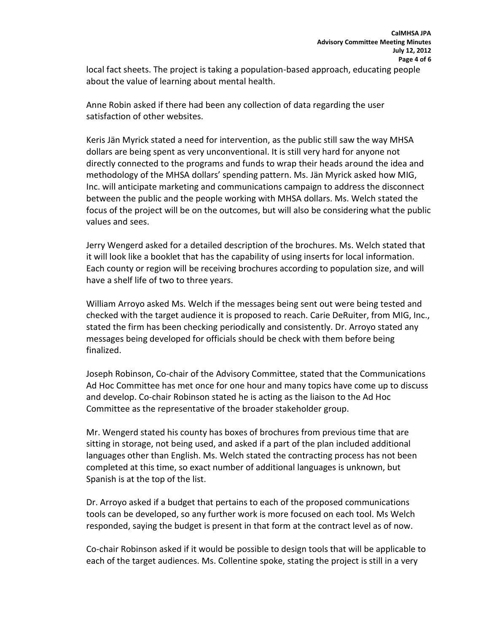local fact sheets. The project is taking a population-based approach, educating people about the value of learning about mental health.

Anne Robin asked if there had been any collection of data regarding the user satisfaction of other websites.

Keris Jän Myrick stated a need for intervention, as the public still saw the way MHSA dollars are being spent as very unconventional. It is still very hard for anyone not directly connected to the programs and funds to wrap their heads around the idea and methodology of the MHSA dollars' spending pattern. Ms. Jän Myrick asked how MIG, Inc. will anticipate marketing and communications campaign to address the disconnect between the public and the people working with MHSA dollars. Ms. Welch stated the focus of the project will be on the outcomes, but will also be considering what the public values and sees.

Jerry Wengerd asked for a detailed description of the brochures. Ms. Welch stated that it will look like a booklet that has the capability of using inserts for local information. Each county or region will be receiving brochures according to population size, and will have a shelf life of two to three years.

William Arroyo asked Ms. Welch if the messages being sent out were being tested and checked with the target audience it is proposed to reach. Carie DeRuiter, from MIG, Inc., stated the firm has been checking periodically and consistently. Dr. Arroyo stated any messages being developed for officials should be check with them before being finalized.

Joseph Robinson, Co-chair of the Advisory Committee, stated that the Communications Ad Hoc Committee has met once for one hour and many topics have come up to discuss and develop. Co-chair Robinson stated he is acting as the liaison to the Ad Hoc Committee as the representative of the broader stakeholder group.

Mr. Wengerd stated his county has boxes of brochures from previous time that are sitting in storage, not being used, and asked if a part of the plan included additional languages other than English. Ms. Welch stated the contracting process has not been completed at this time, so exact number of additional languages is unknown, but Spanish is at the top of the list.

Dr. Arroyo asked if a budget that pertains to each of the proposed communications tools can be developed, so any further work is more focused on each tool. Ms Welch responded, saying the budget is present in that form at the contract level as of now.

Co-chair Robinson asked if it would be possible to design tools that will be applicable to each of the target audiences. Ms. Collentine spoke, stating the project is still in a very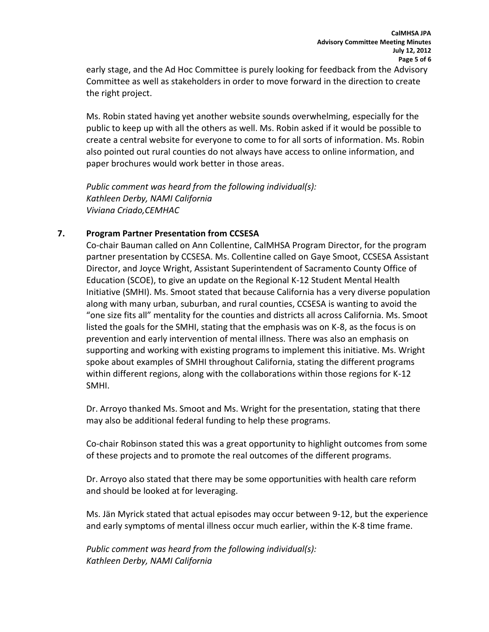early stage, and the Ad Hoc Committee is purely looking for feedback from the Advisory Committee as well as stakeholders in order to move forward in the direction to create the right project.

Ms. Robin stated having yet another website sounds overwhelming, especially for the public to keep up with all the others as well. Ms. Robin asked if it would be possible to create a central website for everyone to come to for all sorts of information. Ms. Robin also pointed out rural counties do not always have access to online information, and paper brochures would work better in those areas.

*Public comment was heard from the following individual(s): Kathleen Derby, NAMI California Viviana Criado,CEMHAC*

## **7. Program Partner Presentation from CCSESA**

Co-chair Bauman called on Ann Collentine, CalMHSA Program Director, for the program partner presentation by CCSESA. Ms. Collentine called on Gaye Smoot, CCSESA Assistant Director, and Joyce Wright, Assistant Superintendent of Sacramento County Office of Education (SCOE), to give an update on the Regional K-12 Student Mental Health Initiative (SMHI). Ms. Smoot stated that because California has a very diverse population along with many urban, suburban, and rural counties, CCSESA is wanting to avoid the "one size fits all" mentality for the counties and districts all across California. Ms. Smoot listed the goals for the SMHI, stating that the emphasis was on K-8, as the focus is on prevention and early intervention of mental illness. There was also an emphasis on supporting and working with existing programs to implement this initiative. Ms. Wright spoke about examples of SMHI throughout California, stating the different programs within different regions, along with the collaborations within those regions for K-12 SMHI.

Dr. Arroyo thanked Ms. Smoot and Ms. Wright for the presentation, stating that there may also be additional federal funding to help these programs.

Co-chair Robinson stated this was a great opportunity to highlight outcomes from some of these projects and to promote the real outcomes of the different programs.

Dr. Arroyo also stated that there may be some opportunities with health care reform and should be looked at for leveraging.

Ms. Jän Myrick stated that actual episodes may occur between 9-12, but the experience and early symptoms of mental illness occur much earlier, within the K-8 time frame.

*Public comment was heard from the following individual(s): Kathleen Derby, NAMI California*